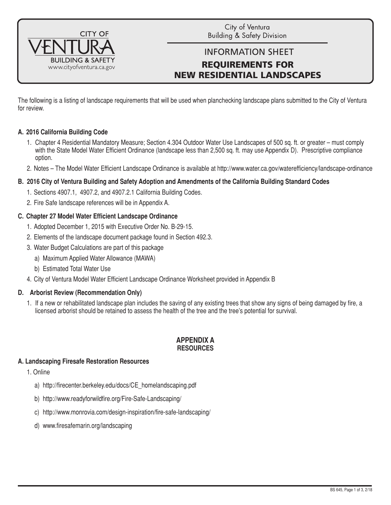

City of Ventura **Building & Safety Division** 

# INFORMATION SHEET REQUIREMENTS FOR NEW RESIDENTIAL LANDSCAPES

The following is a listing of landscape requirements that will be used when planchecking landscape plans submitted to the City of Ventura for review.

# **A. 2016 California Building Code**

- 1. Chapter 4 Residential Mandatory Measure; Section 4.304 Outdoor Water Use Landscapes of 500 sq. ft. or greater must comply with the State Model Water Efficient Ordinance (landscape less than 2,500 sq. ft. may use Appendix D). Prescriptive compliance option.
- 2. Notes The Model Water Efficient Landscape Ordinance is available at http://www.water.ca.gov/waterefficiency/landscape-ordinance

### **B. 2016 City of Ventura Building and Safety Adoption and Amendments of the California Building Standard Codes**

- 1. Sections 4907.1, 4907.2, and 4907.2.1 California Building Codes.
- 2. Fire Safe landscape references will be in Appendix A.

# **C. Chapter 27 Model Water Efficient Landscape Ordinance**

- 1. Adopted December 1, 2015 with Executive Order No. B-29-15.
- 2. Elements of the landscape document package found in Section 492.3.
- 3. Water Budget Calculations are part of this package
	- a) Maximum Applied Water Allowance (MAWA)
	- b) Estimated Total Water Use
- 4. City of Ventura Model Water Efficient Landscape Ordinance Worksheet provided in Appendix B

### **D. Arborist Review (Recommendation Only)**

1. If a new or rehabilitated landscape plan includes the saving of any existing trees that show any signs of being damaged by fire, a licensed arborist should be retained to assess the health of the tree and the tree's potential for survival.

### **APPENDIX A RESOURCES**

### **A. Landscaping Firesafe Restoration Resources**

- 1. Online
	- a) http://firecenter.berkeley.edu/docs/CE\_homelandscaping.pdf
	- b) http://www.readyforwildfire.org/Fire-Safe-Landscaping/
	- c) http://www.monrovia.com/design-inspiration/fire-safe-landscaping/
	- d) www.firesafemarin.org/landscaping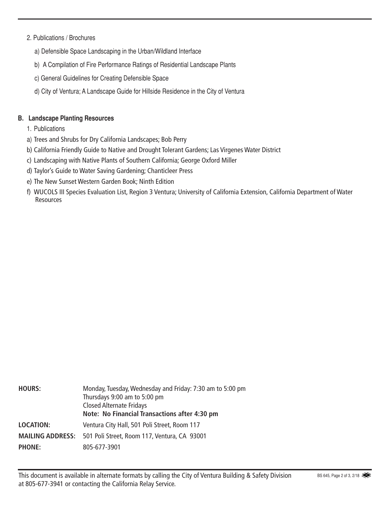# 2. Publications / Brochures

- a) Defensible Space Landscaping in the Urban/Wildland Interface
- b) A Compilation of Fire Performance Ratings of Residential Landscape Plants
- c) General Guidelines for Creating Defensible Space
- d) City of Ventura; A Landscape Guide for Hillside Residence in the City of Ventura

# **B. Landscape Planting Resources**

- 1. Publications
- a) Trees and Shrubs for Dry California Landscapes; Bob Perry
- b) California Friendly Guide to Native and Drought Tolerant Gardens; Las Virgenes Water District
- c) Landscaping with Native Plants of Southern California; George Oxford Miller
- d) Taylor's Guide to Water Saving Gardening; Chanticleer Press
- e) The New Sunset Western Garden Book; Ninth Edition
- f) WUCOLS III Species Evaluation List, Region 3 Ventura; University of California Extension, California Department of Water **Resources**

| <b>HOURS:</b>    | Monday, Tuesday, Wednesday and Friday: 7:30 am to 5:00 pm<br>Thursdays 9:00 am to 5:00 pm<br><b>Closed Alternate Fridays</b><br>Note: No Financial Transactions after 4:30 pm |
|------------------|-------------------------------------------------------------------------------------------------------------------------------------------------------------------------------|
| <b>LOCATION:</b> | Ventura City Hall, 501 Poli Street, Room 117<br><b>MAILING ADDRESS:</b> 501 Poli Street, Room 117, Ventura, CA 93001                                                          |
| <b>PHONE:</b>    | 805-677-3901                                                                                                                                                                  |